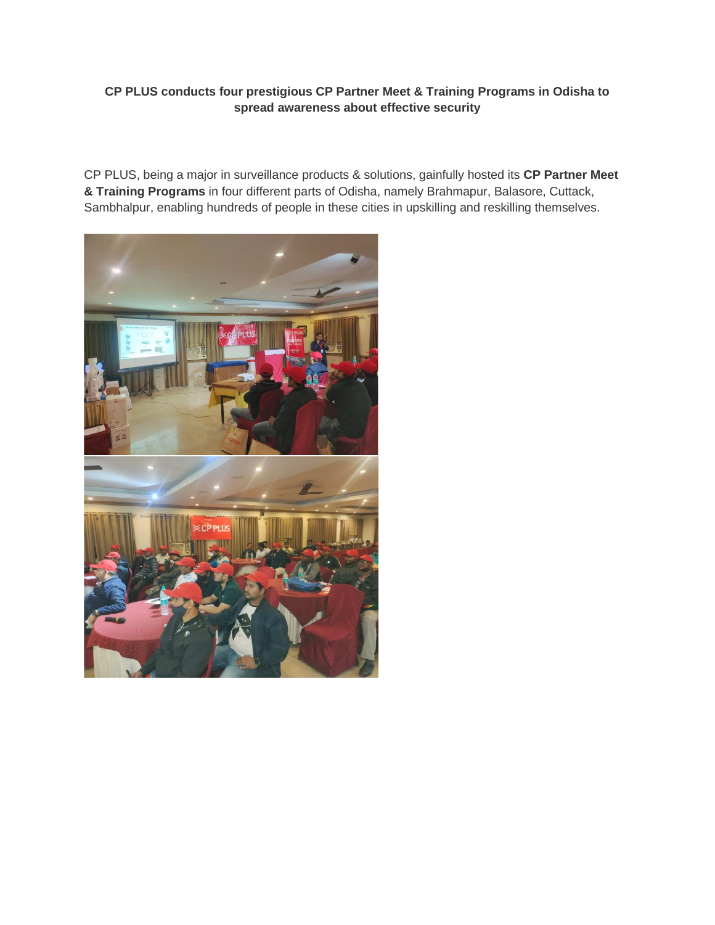## **CP PLUS conducts four prestigious CP Partner Meet & Training Programs in Odisha to spread awareness about effective security**

CP PLUS, being a major in surveillance products & solutions, gainfully hosted its **CP Partner Meet & Training Programs** in four different parts of Odisha, namely Brahmapur, Balasore, Cuttack, Sambhalpur, enabling hundreds of people in these cities in upskilling and reskilling themselves.

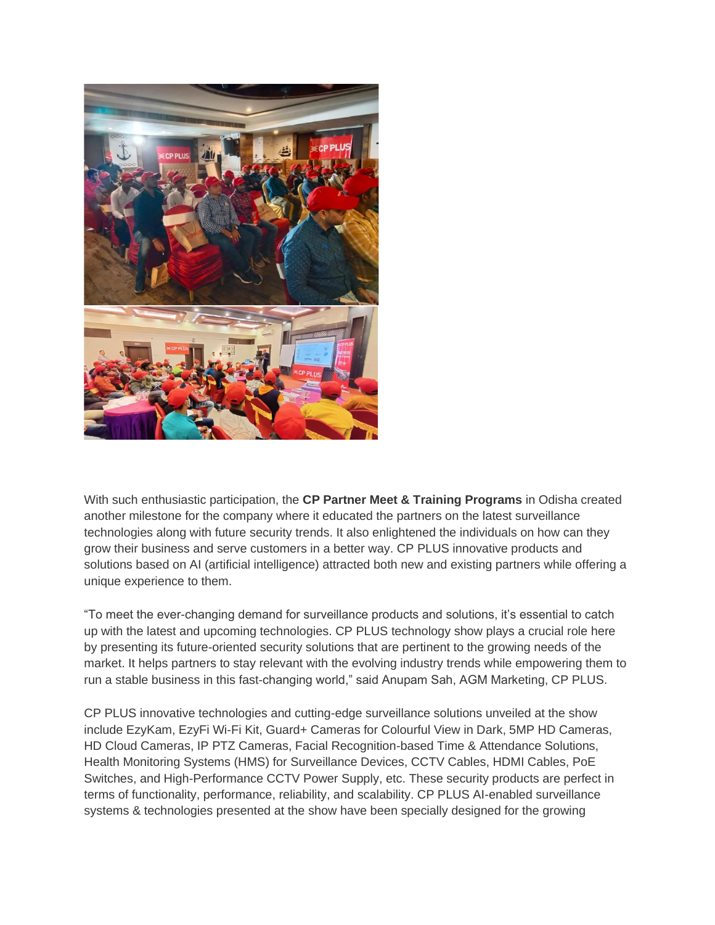

With such enthusiastic participation, the **CP Partner Meet & Training Programs** in Odisha created another milestone for the company where it educated the partners on the latest surveillance technologies along with future security trends. It also enlightened the individuals on how can they grow their business and serve customers in a better way. CP PLUS innovative products and solutions based on AI (artificial intelligence) attracted both new and existing partners while offering a unique experience to them.

"To meet the ever-changing demand for surveillance products and solutions, it's essential to catch up with the latest and upcoming technologies. CP PLUS technology show plays a crucial role here by presenting its future-oriented security solutions that are pertinent to the growing needs of the market. It helps partners to stay relevant with the evolving industry trends while empowering them to run a stable business in this fast-changing world," said Anupam Sah, AGM Marketing, CP PLUS.

CP PLUS innovative technologies and cutting-edge surveillance solutions unveiled at the show include EzyKam, EzyFi Wi-Fi Kit, Guard+ Cameras for Colourful View in Dark, 5MP HD Cameras, HD Cloud Cameras, IP PTZ Cameras, Facial Recognition-based Time & Attendance Solutions, Health Monitoring Systems (HMS) for Surveillance Devices, CCTV Cables, HDMI Cables, PoE Switches, and High-Performance CCTV Power Supply, etc. These security products are perfect in terms of functionality, performance, reliability, and scalability. CP PLUS AI-enabled surveillance systems & technologies presented at the show have been specially designed for the growing